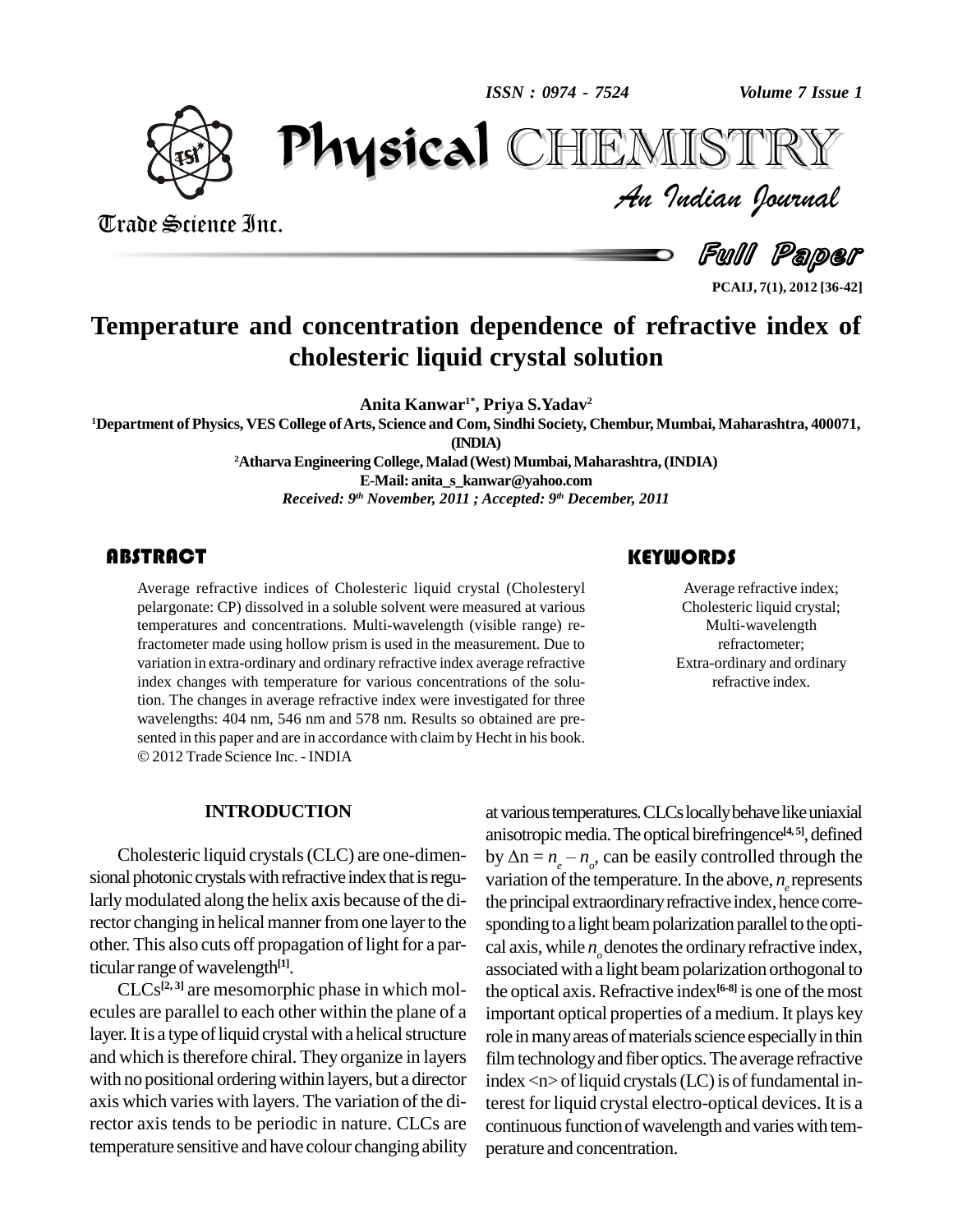*ISSN : 0974 - 7524*



Trade Science Inc.

Trade Science Inc.

*Volume 7 Issue 1*<br>IISTRY<br>Indian Iournal PhysicalTEMISTRY

Full Paper

**PCAIJ, 7(1), 2012 [36-42]**

## **Temperature and concentration dependence of refractive index of cholesteric liquid crystal solution**

**Anita Kanwar 1\* , Priya S.Yadav 2**

<sup>1</sup>Department of Physics, VES College of Arts, Science and Com, Sindhi Society, Chembur, Mumbai, Maharashtra, 400071, **(INDIA)**

> <sup>2</sup>Atharva Engineering College, Malad (West) Mumbai, Maharashtra, (INDIA) **E-Mail: [anita\\_s\\_kanwar@yahoo.com](mailto:anita_s_kanwar@yahoo.com)** *Received: 9 th November, 2011 ; Accepted: 9 th December, 2011*

#### **ABSTRACT**

Average refractive indi<br>pelargonate: CP) dissolv<br>temperatures and conce Average refractive indices of Cholesteric liquid crystal (Cholesteryl pelargonate: CP) dissolved in a soluble solvent were measured at various temperatures and concentrations. Multi-wavelength (visible range) refractometer made using hollow prism is used in the measurement. Due to variation in extra-ordinary and ordinary refractive index average refractive index changes with temperature for various concentrations of the solution. The changes in average refractive index were investigated for three wavelengths: 404 nm, 546 nm and 578 nm. Results so obtained are pre-<br>sented in this paper and are in accordance with claim by Hecht in his book. 2012Trade Science Inc. - INDIA

#### **INTRODUCTION**

Cholesteric liquid crystals(CLC) are one-dimen sional photonic crystals with refractive index that is regularly modulated along the helix axis because of the director changing in helical manner from one layer to the other. This also cuts off propagation of light for a particular range of wavelength<sup>[1]</sup>.

 $CLCs^{[2,3]}$  are mesomorphic phase in which mol- the ecules are parallel to each other within the plane of a layer. It is a type of liquid crystal with a helical structure and which is therefore chiral. They organize in layers with no positional ordering within layers, but a director axis which varies with layers. The variation of the director axis tends to be periodic in nature. CLCs are temperature sensitive and have colour changing ability

### atvarioustemperatures.CLCslocallybehavelikeuniaxial anisotropic media. The optical birefringence<sup>[4, 5]</sup>, defined at various temperatures.<br>anisotropic media. The<br>by  $\Delta n = n_e - n_o$ , can be by  $\Delta n = n_a - n_a$ , can be easily controlled through the variation of the temperature. In the above,  $n<sub>i</sub>$  represents the principal extraordinary refractive index, hence corresponding to a light beam polarization parallel to the optical axis, while *n<sub><sub>o</sub>*</sub> denotes the ordinary refractive index, associated with a light beam polarization orthogonal to the optical axis. Refractive index<sup>[6-8]</sup> is one of the most important optical properties of a medium. It plays key role in many areas of materials science especially in thin film technology and fiber optics. The average refractive index  $\langle n \rangle$  of liquid crystals (LC) is of fundamental interest for liquid crystal electro-optical devices. It is a continuous function of wavelength and varies with temperature and concentration.

Average refractive<br>Cholesteric liquid c<br>Multi-waveleng Average refractive index; Cholesteric liquid crystal; Multi-wavelength refractometer; Extra-ordinary and ordinary refractive index.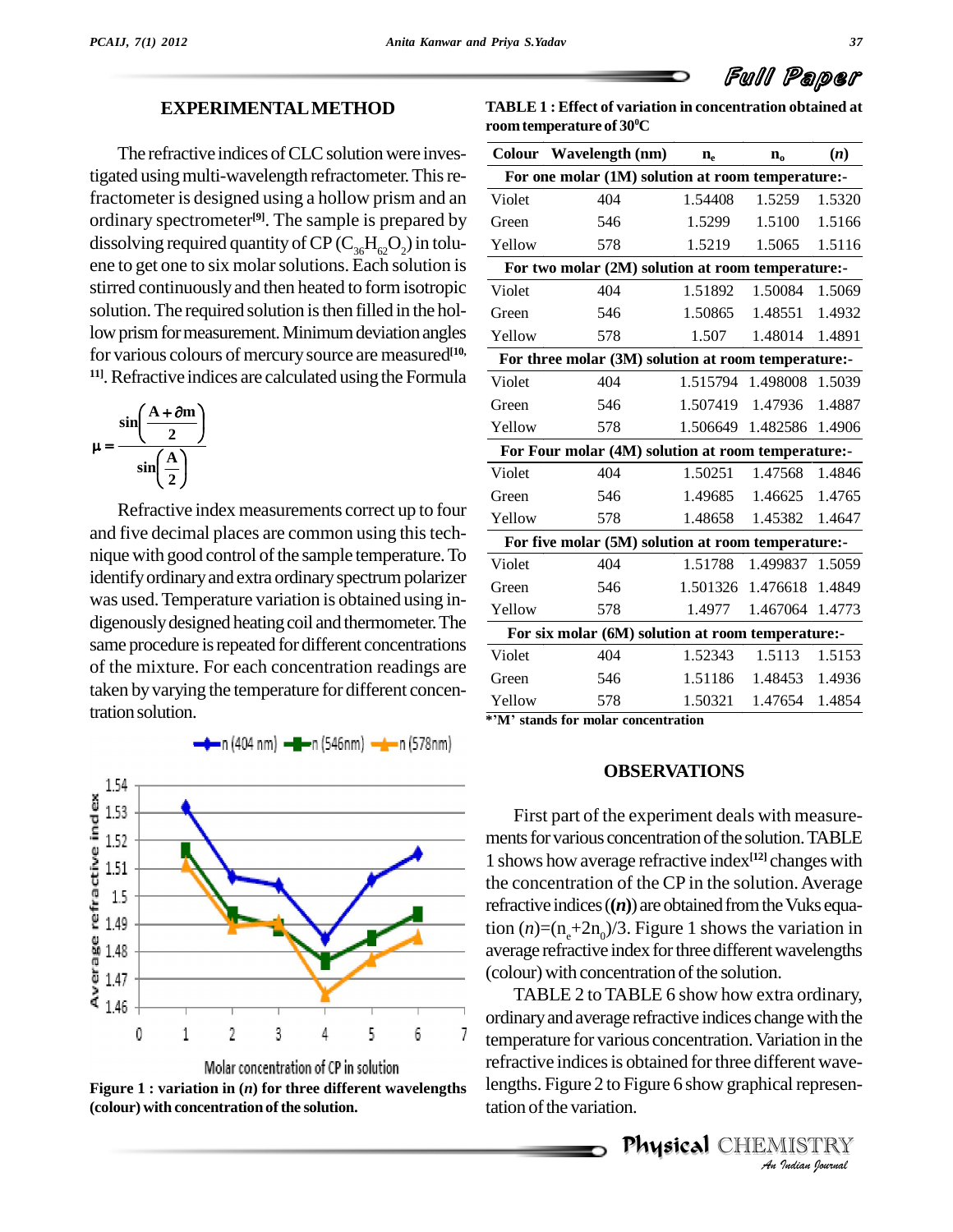# Full Paper

#### **EXPERIMENTALMETHOD**

The refractive indices of CLC solution were investigated using multi-wavelength refractometer. This refractometer is designed using a hollow prism and an ordinary spectrometer<sup>[9]</sup>. The sample is prepared by Green dissolving required quantity of CP ( $C_{36}H_{62}O_2$ ) in tolu-<br>ene to get one to six molar solutions. Each solution is stirred continuouslyand then heated to form isotropic solution. The required solution is then filled in the hollow prism for measurement. Minimum deviation angles for various colours of mercurysource are measured **[10,** <sup>11]</sup>. Refractive indices are calculated using the Formula  $\overline{\text{Violet}}$ 



Refractive index measurements correct up to four and five decimal places are common using this technique with good control of the sample temperature. To identify ordinary and extra ordinary spectrum polarizer was used. Temperature variation is obtained using in-<br>digenously designed heating coil and thermometer. The same procedure is repeated for different concentrations of the mixture. For each concentration readings are taken byvarying the temperature for different concentration solution.



**Figure 1 : variation in (***n***) for three different wavelengths**  $($ colour $)$  with concentration of the solution.

**TABLE 1 : Effect of variation in concentration obtained at roomtemperature of 30 <sup>0</sup>C**

|        | Colour Wavelength (nm)                              | $n_e$   | $n_{o}$                  | (n)    |
|--------|-----------------------------------------------------|---------|--------------------------|--------|
|        | For one molar (1M) solution at room temperature:-   |         |                          |        |
| Violet | 404                                                 | 1.54408 | 1.5259                   | 1.5320 |
| Green  | 546                                                 | 1.5299  | 1.5100                   | 1.5166 |
| Yellow | 578                                                 | 1.5219  | 1.5065                   | 1.5116 |
|        | For two molar (2M) solution at room temperature:-   |         |                          |        |
| Violet | 404                                                 | 1.51892 | 1.50084                  | 1.5069 |
| Green  | 546                                                 | 1.50865 | 1.48551                  | 1.4932 |
| Yellow | 578                                                 | 1.507   | 1.48014                  | 1.4891 |
|        | For three molar (3M) solution at room temperature:- |         |                          |        |
| Violet | 404                                                 |         | 1.515794 1.498008 1.5039 |        |
| Green  | 546                                                 |         | 1.507419 1.47936         | 1.4887 |
| Yellow | 578                                                 |         | 1.506649 1.482586 1.4906 |        |
|        | For Four molar (4M) solution at room temperature:-  |         |                          |        |
| Violet | 404                                                 | 1.50251 | 1.47568                  | 1.4846 |
| Green  | 546                                                 | 1.49685 | 1.46625                  | 1.4765 |
| Yellow | 578                                                 | 1.48658 | 1.45382                  | 1.4647 |
|        | For five molar (5M) solution at room temperature:-  |         |                          |        |
| Violet | 404                                                 | 1.51788 | 1.499837 1.5059          |        |
| Green  | 546                                                 |         | 1.501326 1.476618        | 1.4849 |
| Yellow | 578                                                 | 1.4977  | 1.467064 1.4773          |        |
|        | For six molar (6M) solution at room temperature:-   |         |                          |        |
| Violet | 404                                                 | 1.52343 | 1.5113                   | 1.5153 |
| Green  | 546                                                 | 1.51186 | 1.48453                  | 1.4936 |
| Yellow | 578                                                 | 1.50321 | 1.47654                  | 1.4854 |

**\*íM<sup>í</sup> stands for molar concentration**

#### **OBSERVATIONS**

First part of the experiment deals with measure ments for various concentration of the solution. TABLE 1 shows how average refractive index **[12]** changes with the concentration of the CP in the solution.Average refractive indices  $(n)$  are obtained from the Vuks equation  $(n)=(n_{\text{e}}+2n_{\text{o}})/3$ . Figure 1 shows the variation in average refractive index for three different wavelengths (colour) with concentration of the solution.

temperature for various concentration. Variation in the **Indiana**<br>**I Indiana**<br>**I ISTRY**<br>*I* **Indian** bournal TABLE 2 to TABLE 6 show how extra ordinary, ordinaryandaverage refractive indices changewith the refractive indices is obtained for three different wavelengths. Figure 2 to Figure 6 show graphical representation of the variation.

Physical CHEMISTRY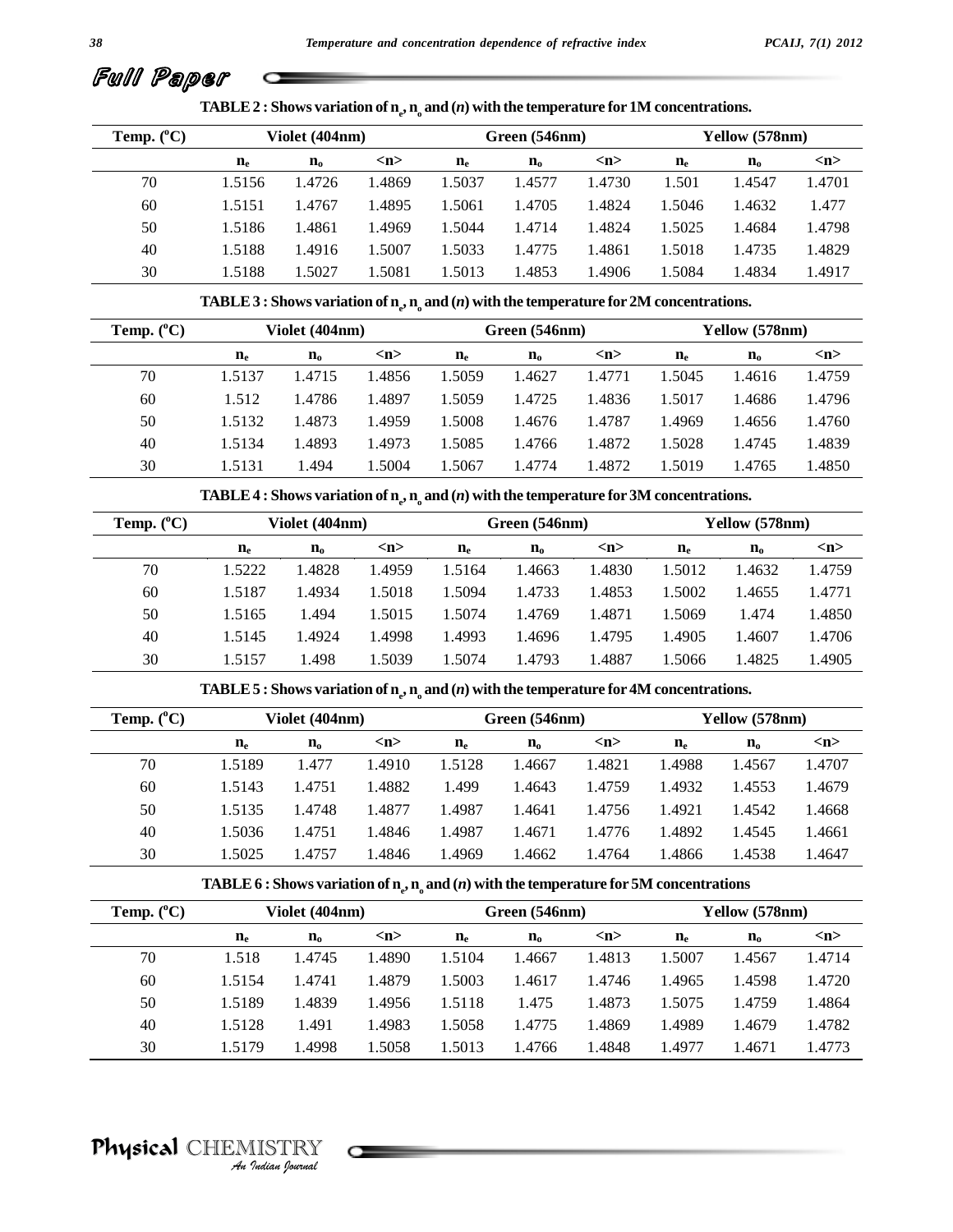# Full Paper

**TABLE 2** : Shows variation of  $n_e$ ,  $n_e$  and  $(n)$  with the temperature for 1M concentrations.

| Temp. $(^{\circ}C)$ |             | Violet (404nm) |        |                      | Green (546nm) |                     |             | Yellow (578nm) |        |
|---------------------|-------------|----------------|--------|----------------------|---------------|---------------------|-------------|----------------|--------|
|                     | $n_{\rm e}$ | $n_{o}$        | m      | $\mathbf{n}_{\rm e}$ | $n_{o}$       | $\langle n \rangle$ | $n_{\rm e}$ | $n_{o}$        | m      |
| 70                  | 1.5156      | 1.4726         | 1.4869 | 1.5037               | 1.4577        | 1.4730              | 1.501       | 1.4547         | 1.4701 |
| 60                  | 1.5151      | 1.4767         | 1.4895 | 1.5061               | 1.4705        | 1.4824              | 1.5046      | 1.4632         | 1.477  |
| 50                  | 1.5186      | 1.4861         | 1.4969 | 1.5044               | 1.4714        | 1.4824              | 1.5025      | 1.4684         | 1.4798 |
| 40                  | 1.5188      | 1.4916         | 1.5007 | 1.5033               | 1.4775        | 1.4861              | 1.5018      | 1.4735         | 1.4829 |
| 30                  | 1.5188      | 1.5027         | 1.5081 | 1.5013               | 1.4853        | 1.4906              | 1.5084      | 1.4834         | 1.4917 |

**TABLE 3 : Shows variation** of  $\mathbf{n}_e$ ,  $\mathbf{n}_o$  and  $(n)$  with the temperature for 2M concentrations.

| Temp. $(^{\circ}C)$ |             | Violet (404nm) |        |             | Green (546nm) |                     |        | Yellow (578nm) |        |
|---------------------|-------------|----------------|--------|-------------|---------------|---------------------|--------|----------------|--------|
|                     | $n_{\rm e}$ | $n_{o}$        | m      | $n_{\rm e}$ | $n_{o}$       | $\langle n \rangle$ | $n_e$  | $n_{o}$        | m      |
| 70                  | 1.5137      | 1.4715         | 1.4856 | 1.5059      | 1.4627        | 1.4771              | 1.5045 | 1.4616         | 1.4759 |
| 60                  | 1.512       | 1.4786         | 1.4897 | 1.5059      | 1.4725        | 1.4836              | 1.5017 | 1.4686         | 1.4796 |
| 50                  | 1.5132      | 1.4873         | 1.4959 | 1.5008      | 1.4676        | 1.4787              | 1.4969 | 1.4656         | 1.4760 |
| 40                  | 1.5134      | 1.4893         | 1.4973 | 1.5085      | 1.4766        | 1.4872              | 1.5028 | 1.4745         | 1.4839 |
| 30                  | 1.5131      | 1.494          | 1.5004 | 1.5067      | 1.4774        | 1.4872              | 1.5019 | 1.4765         | 1.4850 |

**TABLE 4 :** Shows variation of  $\mathbf{n}_e$ ,  $\mathbf{n}_o$  and  $(n)$  with the temperature for 3M concentrations.

| Temp. $(^{\circ}C)$ |        | Violet (404nm) |                     |             | Green (546nm) |                     |        | Yellow (578nm) |                     |
|---------------------|--------|----------------|---------------------|-------------|---------------|---------------------|--------|----------------|---------------------|
|                     | $n_e$  | $n_{o}$        | $\langle n \rangle$ | $n_{\rm e}$ | $n_{o}$       | $\langle n \rangle$ | $n_e$  | $n_{o}$        | $\langle n \rangle$ |
| 70                  | 1.5222 | 1.4828         | 1.4959              | 1.5164      | 1.4663        | 1.4830              | 1.5012 | 1.4632         | 1.4759              |
| 60                  | 1.5187 | 1.4934         | 1.5018              | 1.5094      | 1.4733        | 1.4853              | 1.5002 | 1.4655         | 1.4771              |
| 50                  | 1.5165 | 1.494          | 1.5015              | 1.5074      | 1.4769        | 1.4871              | 1.5069 | 1.474          | 1.4850              |
| 40                  | 1.5145 | 1.4924         | 1.4998              | 1.4993      | 1.4696        | 1.4795              | 1.4905 | 1.4607         | 1.4706              |
| 30                  | 1.5157 | 1.498          | 1.5039              | 1.5074      | 1.4793        | 1.4887              | .5066  | 1.4825         | l.4905              |

**TABLE 5** : Shows variation of  $n_e$ ,  $n_e$  and  $(n)$  with the temperature for 4M concentrations.

| Temp. $(^{\circ}C)$ |                  | Violet (404nm) |        |             | Green (546nm) |                     |             | Yellow (578nm) |                     |
|---------------------|------------------|----------------|--------|-------------|---------------|---------------------|-------------|----------------|---------------------|
|                     | $\mathbf{n}_{e}$ | $n_{o}$        | m      | $n_{\rm e}$ | $n_{o}$       | $\langle n \rangle$ | $n_{\rm e}$ | $n_{o}$        | $\langle n \rangle$ |
| 70                  | 1.5189           | 1.477          | 1.4910 | 1.5128      | 1.4667        | 1.4821              | 1.4988      | 1.4567         | 1.4707              |
| 60                  | 1.5143           | 1.4751         | 1.4882 | 1.499       | 1.4643        | 1.4759              | 1.4932      | 1.4553         | 1.4679              |
| 50                  | 1.5135           | 1.4748         | 1.4877 | 1.4987      | 1.4641        | 1.4756              | 1.4921      | 1.4542         | 1.4668              |
| 40                  | 1.5036           | 1.4751         | l.4846 | 1.4987      | 1.4671        | 1.4776              | .4892       | 1.4545         | 1.4661              |
| 30                  | 1.5025           | 1.4757         | .4846  | .4969       | 1.4662        | 1.4764              | .4866       | 1.4538         | l.4647              |

TABLE 6 : Shows variation of  $\mathbf{n}_e, \mathbf{n}_o$  and  $(n)$  with the temperature for 5M concentrations

| Temp. $(^{\circ}C)$ |             | Violet (404nm) |        |                      | Green (546nm) |        |             | Yellow (578nm)        |        |
|---------------------|-------------|----------------|--------|----------------------|---------------|--------|-------------|-----------------------|--------|
|                     | $n_{\rm e}$ | $\mathbf{n_o}$ | m      | $\mathbf{n}_{\rm e}$ | $n_{o}$       | m      | $n_{\rm e}$ | $\mathbf{n}_\text{o}$ | m      |
| 70                  | 1.518       | 1.4745         | 1.4890 | 1.5104               | 1.4667        | 1.4813 | 1.5007      | 1.4567                | 1.4714 |
| 60                  | 1.5154      | 1.4741         | 1.4879 | 1.5003               | 1.4617        | 1.4746 | 1.4965      | 1.4598                | 1.4720 |
| 50                  | 1.5189      | 1.4839         | 1.4956 | 1.5118               | 1.475         | 1.4873 | 1.5075      | 1.4759                | 1.4864 |
| 40                  | 1.5128      | 1.491          | 1.4983 | 1.5058               | 1.4775        | 1.4869 | 1.4989      | 1.4679                | 1.4782 |
| 30                  | 1.5179      | 1.4998         | 1.5058 | 1.5013               | 1.4766        | 1.4848 | 1.4977      | 1.4671                | 1.4773 |

# Physical CHEMISTRY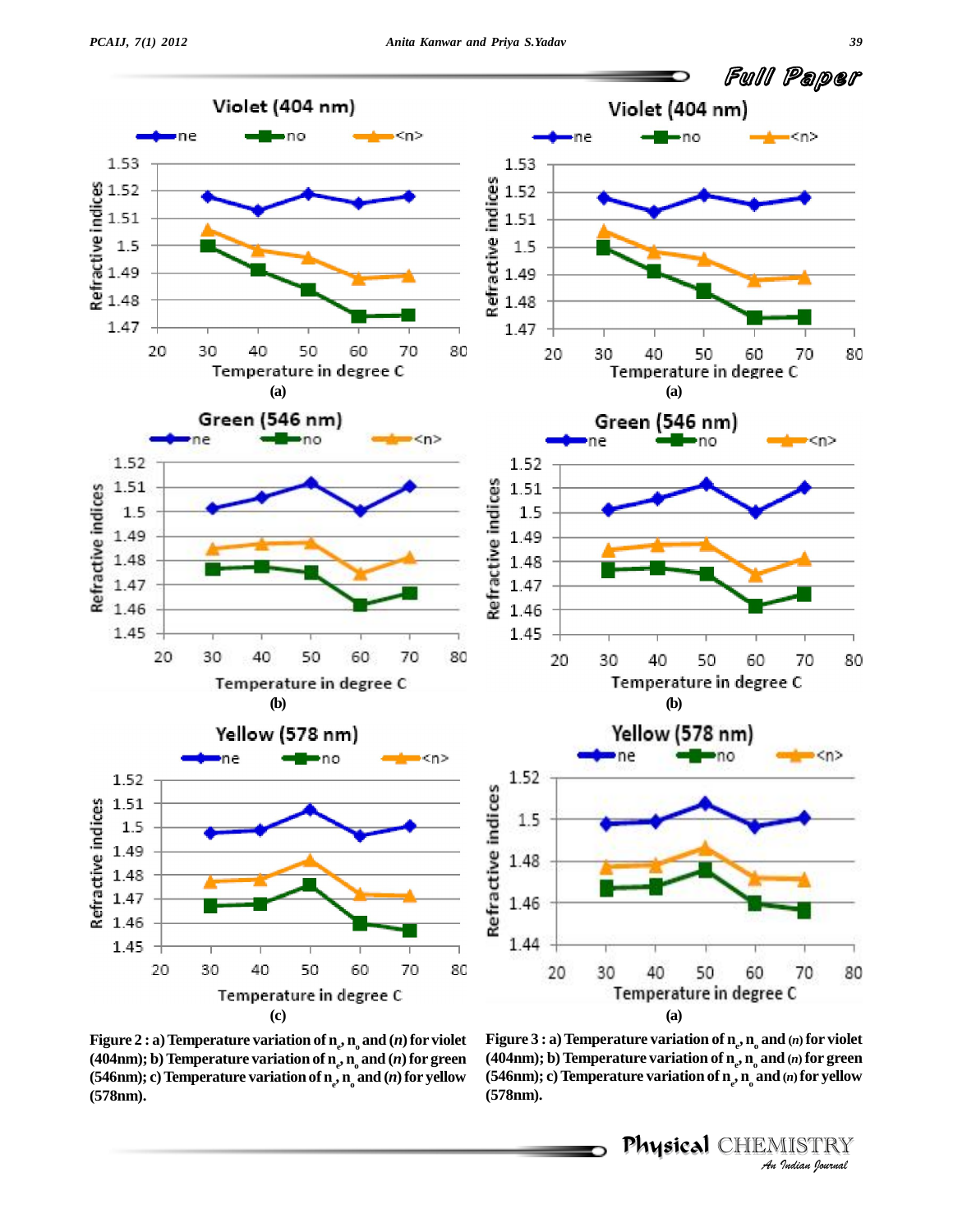

**Figure** 2  $:$  **a**) Temperature variation of  $\mathbf{n}_{e}$ ,  $\mathbf{n}_{o}$  and  $(n)$  for violet Fig **(404nm); b**) Temperature variation of  $\mathbf{n}_e$ ,  $\mathbf{n}_o$  and  $(n)$  for green (404nn **(546nm); c**) Temperature **variation** of  $\mathbf{n}_e$ ,  $\mathbf{n}_o$  and  $(n)$  for **yellow** (546nm); **(578nm).**

*Figure 3 : a) Temperature variation of*  $\mathbf{n}_{e}$ *,*  $\mathbf{n}_{o}$  *and*  $(n)$  *for violet I(n)* for violet<br>*I(n)* for green<br>*(n)* for yellow<br><u>IISTRY</u><br>Indian Iournal **(404nm); b)Temperature variation of n<sup>e</sup> , n<sup>o</sup> and (***n***) for green (546nm); c)Temperature variation of n<sup>e</sup> , n<sup>o</sup> and (***n***)for yellow (578nm).**

Physical CHEMISTRY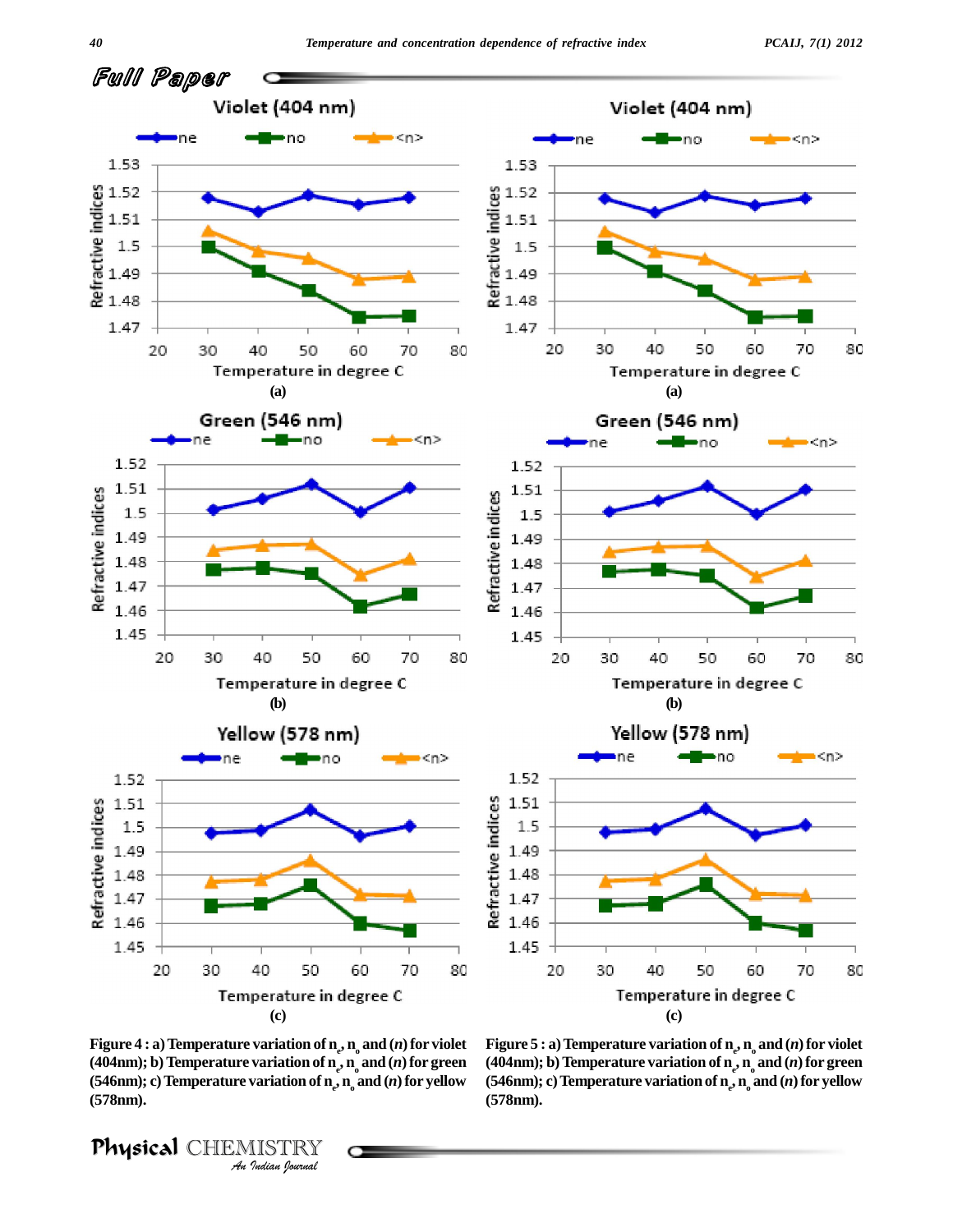

 $\bf{Figure 4: a) Temperature variation of  $\bf{n}_e$ ,  $\bf{n}_o$  and  $(n)$  for violet$ **Variation of n<sub>e</sub><br>
<b>Variation of n**<sub>e</sub><br> **Variation of n**<sub>e</sub><br> **IISTRY**<br> *I*ndian *Iournal* **(404nm); b**) Temperature variation of  $\mathbf{n}_e$ ,  $\mathbf{n}_o$  and  $(n)$  for green (404nn **(546nm); c**) Temperature **variation** of  $\mathbf{n}_e$ ,  $\mathbf{n}_o$  and  $(n)$  for **yellow** (546nm); **(578nm).**

Physical CHEMISTRY

**Figure 5**  $:$  **a**) Temperature variation of  $\mathbf{n}_{e}$ ,  $\mathbf{n}_{o}$  and  $(n)$  for violet **(404nm); b)Temperature variation of n<sup>e</sup> ,n<sup>o</sup> and (***n***)for green (546nm); c)Temperature variation of n<sup>e</sup> , n<sup>o</sup> and (***n***)for yellow (578nm).**

*40*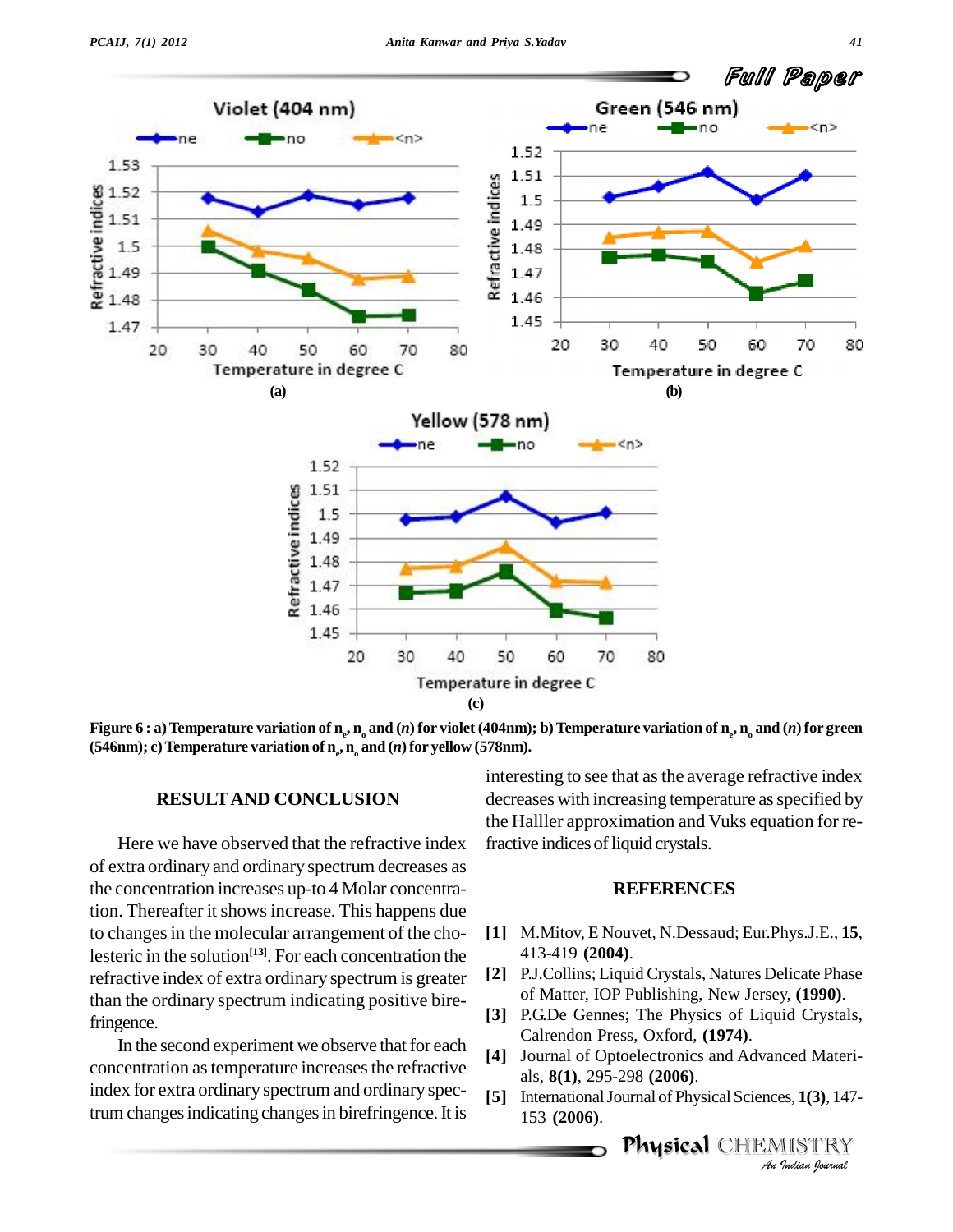

Figure 6 : a) Temperature variation of  $\bm{{\rm n}}_{_{\rm e}}$ ,  $\bm{{\rm n}}_{_{\rm o}}$  and  $(n)$  for violet (404nm); b) Temperature variation of  $\bm{{\rm n}}_{_{\rm e}}$ ,  $\bm{{\rm n}}_{_{\rm o}}$  and  $(n)$  for green **(546nm); c)Temperature variation of n<sup>e</sup> , n<sup>o</sup> and (***n***)for yellow (578nm).**

#### **RESULTAND CONCLUSION**

Here we have observed that the refractive index of extra ordinary and ordinary spectrum decreases as the concentration increases up-to 4 Molar concentration. Thereafter it shows increase. This happens due to changes in the molecular arrangement of the cholesteric in the solution **[13]**. For each concentration the refractive index of extra ordinary spectrum is greater than the ordinary spectrum indicating positive birefringence.

In the second experiment we observe that for each concentration as temperature increases the refractive index for extra ordinary spectrum and ordinary spectrum changes indicating changes in birefringence. It is

interesting to see that as the average refractive index decreases with increasing temperature as specified by the Halller approximation and Vuks equation for refractive indices of liquid crystals.

#### **REFERENCES**

- **[1]** M.Mitov, E Nouvet, N.Dessaud; Eur.Phys.J.E., **15**, 413-419 **(2004)**.
- **[2]** P.J.Collins; LiquidCrystals, Natures Delicate Phase of Matter, IOP Publishing, New Jersey, **(1990)**.
- **[3]** P.G.De Gennes; The Physics of Liquid Crystals, Calrendon Press, Oxford, **(1974)**.
- **Index**<br>**Indian**<br>**IISTRY**<br>*Indian Iournal* **[4]** Journal of Optoelectronics and Advanced Materi als, **8(1)**, 295-298 **(2006)**.
- **[5]** InternationalJournal of Physical Sciences, **1(3)**, 147- 153 **(2006)**.